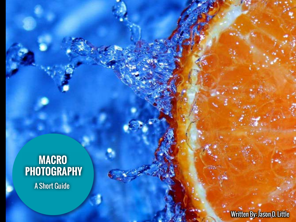### **Macro PhotoG R a phy**

A Short Guide

Written By: Jason D. Little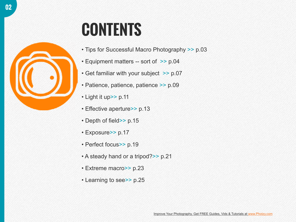### **CONTENTS**

- • [Tips for Successful Macro Photography](#page-2-0) >> p.03
- [Equipment matters -- sort of](#page-3-0) >> p.04
- [Get familiar with your subject](#page-6-0) >> p.07
- [Patience, patience, patience](#page-8-0) >> p.09
- [Light it up](#page-10-0)>> p.11
- [Effective aperture](#page-12-0)>> p.13
- [Depth of field](#page-14-0)>> p.15
- [Exposure](#page-16-0)>> p.17
- [Perfect focus](#page-18-0)>> p.19
- [A steady hand or a tripod?](#page-20-0)>> p.21
- [Extreme macro](#page-22-0)>> p.23
- [Learning to see](#page-24-0)>> p.25

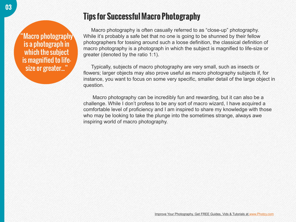### <span id="page-2-0"></span>"Macro photography is a photograph in which the subject is magnified to lifesize or greater..."

### **Tips for Successful Macro Photography**

Macro photography is often casually referred to as "close-up" photography. While it's probably a safe bet that no one is going to be shunned by their fellow photographers for tossing around such a loose definition, the classical definition of macro photography is a photograph in which the subject is magnified to life-size or greater (denoted by the ratio 1:1).

Typically, subjects of macro photography are very small, such as insects or flowers; larger objects may also prove useful as macro photography subjects if, for instance, you want to focus on some very specific, smaller detail of the large object in question.

 Macro photography can be incredibly fun and rewarding, but it can also be a challenge. While I don't profess to be any sort of macro wizard, I have acquired a comfortable level of proficiency and I am inspired to share my knowledge with those who may be looking to take the plunge into the sometimes strange, always awe inspiring world of macro photography.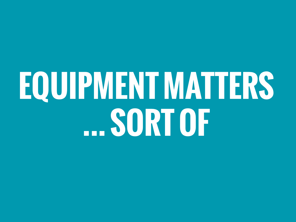### <span id="page-3-0"></span>**Equipment matters ... sort of**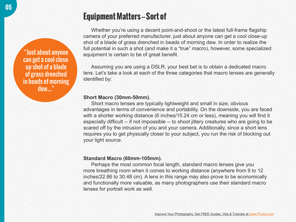### **Equipment Matters - Sort of**

Whether you're using a decent point-and-shoot or the latest full-frame flagship camera of your preferred manufacturer, just about anyone can get a cool close-up shot of a blade of grass drenched in beads of morning dew. In order to realize the full potential in such a shot (and make it a "true" macro), however, some specialized equipment is certain to be of great benefit.

Assuming you are using a DSLR, your best bet is to obtain a dedicated macro lens. Let's take a look at each of the three categories that macro lenses are generally identified by:

### **Short Macro (30mm-50mm).**

Short macro lenses are typically lightweight and small in size, obvious advantages in terms of convenience and portability. On the downside, you are faced with a shorter working distance (6 inches/15.24 cm or less), meaning you will find it especially difficult -- if not impossible -- to shoot jittery creatures who are going to be scared off by the intrusion of you and your camera. Additionally, since a short lens requires you to get physically closer to your subject, you run the risk of blocking out your light source.

### **Standard Macro (60mm-105mm).**

Perhaps the most common focal length, standard macro lenses give you more breathing room when it comes to working distance (anywhere from 9 to 12 inches/22.86 to 30.48 cm). A lens in this range may also prove to be economically and functionally more valuable, as many photographers use their standard macro lenses for portrait work as well.

"Just about anyone can get a cool closeup shot of a blade of grass drenched in beads of morning dew...."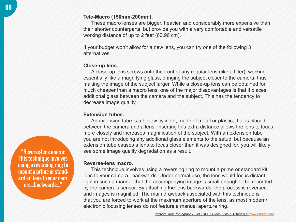These macro lenses are bigger, heavier, and considerably more expensive than their shorter counterparts, but provide you with a very comfortable and versatile working distance of up to 2 feet (60.96 cm).

If your budget won't allow for a new lens, you can try one of the following 3 alternatives:

#### **Close-up lens.**

A close-up lens screws onto the front of any regular lens (like a filter), working essentially like a magnifying glass, bringing the subject closer to the camera, thus making the image of the subject larger. While a close-up lens can be obtained for much cheaper than a macro lens, one of the major disadvantages is that it places additional glass between the camera and the subject. This has the tendency to decrease image quality.

### **Extension tubes.**

An extension tube is a hollow cylinder, made of metal or plastic, that is placed between the camera and a lens. Inserting this extra distance allows the lens to focus more closely and increases magnification of the subject. With an extension tube you are not introducing any additional glass elements to the setup, but because an extension tube causes a lens to focus closer than it was designed for, you will likely see some image quality degradation as a result.

#### **Reverse-lens macro.**

This technique involves using a reversing ring to mount a prime or standard kit lens to your camera...backwards. Under normal use, the lens would focus distant light in such a manner that the accompanying image is small enough to be recorded by the camera's sensor. By attaching the lens backwards, the process is reversed and images is magnified. The main drawback associated with this technique is that you are forced to work at the maximum aperture of the lens, as most modern/ electronic focusing lenses do not feature a manual aperture ring.

"Reverse-lens macro: This technique involves using a reversing ring to mount a prime or standard kit lens to your camera...backwards..."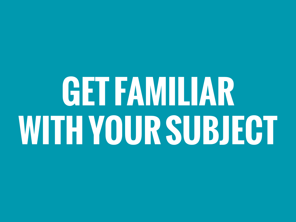## <span id="page-6-0"></span>**GET FAMILIAR with your subject**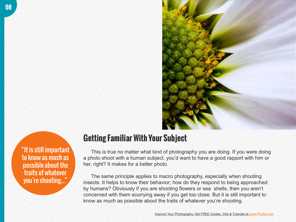

"It is still important to know as much as possible about the traits of whatever you're shooting..."

### **Getting Familiar With Your Subject**

This is true no matter what kind of photography you are doing. If you were doing a photo shoot with a human subject, you'd want to have a good rapport with him or her, right? It makes for a better photo.

The same principle applies to macro photography, especially when shooting insects. It helps to know their behavior; how do they respond to being approached by humans? Obviously if you are shooting flowers or sea shells, then you aren't concerned with them scurrying away if you get too close. But it is still important to know as much as possible about the traits of whatever you're shooting.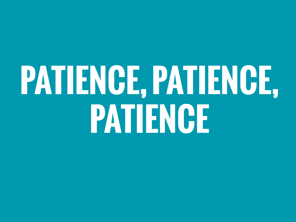### <span id="page-8-0"></span>**Patience, patience, patience**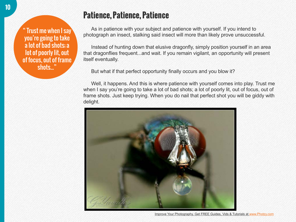Trust me when I say you're going to take a lot of bad shots; a lot of poorly lit, out of focus, out of frame shots..."

### **Patience, Patience, Patience**

As in patience with your subject and patience with yourself. If you intend to photograph an insect, stalking said insect will more than likely prove unsuccessful.

Instead of hunting down that elusive dragonfly, simply position yourself in an area that dragonflies frequent...and wait. If you remain vigilant, an opportunity will present itself eventually.

But what if that perfect opportunity finally occurs and you blow it?

Well, it happens. And this is where patience with yourself comes into play. Trust me when I say you're going to take a lot of bad shots; a lot of poorly lit, out of focus, out of frame shots. Just keep trying. When you do nail that perfect shot you will be giddy with delight.



Improve Your Photography. Get FREE Guides, Vids & Tutorials at [www.Photzy.com](http://www.photzy.com)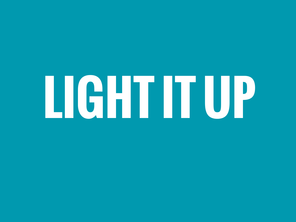# <span id="page-10-0"></span>**Light It Up**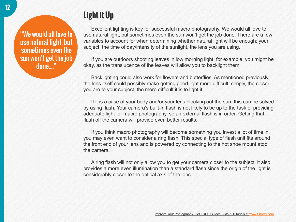"We would all love to use natural light, but sometimes even the sun won't get the job done...."

### **Light it Up**

Excellent lighting is key for successful macro photography. We would all love to use natural light, but sometimes even the sun won't get the job done. There are a few variables to account for when determining whether natural light will be enough: your subject, the time of day/intensity of the sunlight, the lens you are using.

If you are outdoors shooting leaves in low morning light, for example, you might be okay, as the translucence of the leaves will allow you to backlight them.

Backlighting could also work for flowers and butterflies. As mentioned previously, the lens itself could possibly make getting good light more difficult; simply, the closer you are to your subject, the more difficult it is to light it.

If it is a case of your body and/or your lens blocking out the sun, this can be solved by using flash. Your camera's built-in flash is not likely to be up to the task of providing adequate light for macro photography, so an external flash is in order. Getting that flash off the camera will provide even better results.

If you think macro photography will become something you invest a lot of time in, you may even want to consider a ring flash. This special type of flash unit fits around the front end of your lens and is powered by connecting to the hot shoe mount atop the camera.

A ring flash will not only allow you to get your camera closer to the subject, it also provides a more even illumination than a standard flash since the origin of the light is considerably closer to the optical axis of the lens.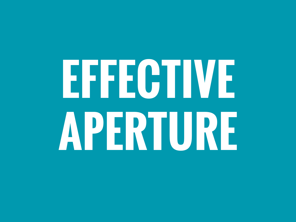# <span id="page-12-0"></span>**Effective Aperture**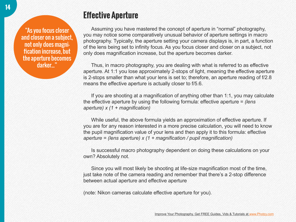"As you focus closer and closer on a subject, not only does magnification increase, but the aperture becomes darker..."

### **Effective Aperture**

Assuming you have mastered the concept of aperture in "normal" photography, you may notice some comparatively unusual behavior of aperture settings in macro photography. Typically, the aperture setting your camera displays is, in part, a function of the lens being set to infinity focus. As you focus closer and closer on a subject, not only does magnification increase, but the aperture becomes darker.

Thus, in macro photography, you are dealing with what is referred to as effective aperture. At 1:1 you lose approximately 2-stops of light, meaning the effective aperture is 2-stops smaller than what your lens is set to; therefore, an aperture reading of f/2.8 means the effective aperture is actually closer to f/5.6.

If you are shooting at a magnification of anything other than 1:1, you may calculate the effective aperture by using the following formula: effective aperture = *(lens aperture) x (1 + magnification)* 

While useful, the above formula yields an approximation of effective aperture. If you are for any reason interested in a more precise calculation, you will need to know the pupil magnification value of your lens and then apply it to this formula: effective *aperture = (lens aperture) x (1 + magnification / pupil magnification)*

Is successful macro photography dependent on doing these calculations on your own? Absolutely not.

Since you will most likely be shooting at life-size magnification most of the time, just take note of the camera reading and remember that there's a 2-stop difference between actual aperture and effective aperture

(note: Nikon cameras calculate effective aperture for you).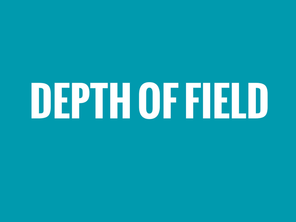## <span id="page-14-0"></span>**Depth of field**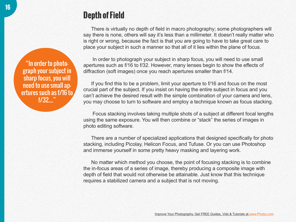### **Depth of Field**

There is virtually no depth of field in macro photography; some photographers will say there is none, others will say it's less than a millimeter. It doesn't really matter who is right or wrong, because the fact is that you are going to have to take great care to place your subject in such a manner so that all of it lies within the plane of focus.

 In order to photograph your subject in sharp focus, you will need to use small apertures such as f/16 to f/32. However, many lenses begin to show the effects of diffraction (soft images) once you reach apertures smaller than f/14.

If you find this to be a problem, limit your aperture to f/16 and focus on the most crucial part of the subject. If you insist on having the entire subject in focus and you can't achieve the desired result with the simple combination of your camera and lens, you may choose to turn to software and employ a technique known as focus stacking.

 Focus stacking involves taking multiple shots of a subject at different focal lengths using the same exposure. You will then combine or "stack" the series of images in photo editing software.

There are a number of specialized applications that designed specifically for photo stacking, including Picolay, Helicon Focus, and Tufuse. Or you can use Photoshop and immerse yourself in some pretty heavy masking and layering work.

No matter which method you choose, the point of focusing stacking is to combine the in-focus areas of a series of image, thereby producing a composite image with depth of field that would not otherwise be attainable. Just know that this technique requires a stabilized camera and a subject that is not moving.

"In order to photograph your subject in sharp focus, you will need to use small apertures such as f/16 to f/32...."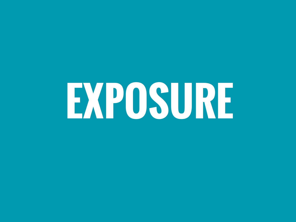## <span id="page-16-0"></span>**Exposure**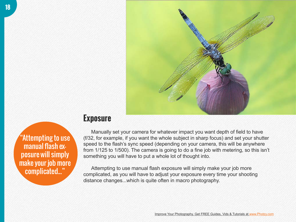

"Attempting to use manual flash exposure will simply make your job more complicated..."

### **Exposure**

Manually set your camera for whatever impact you want depth of field to have (f/32, for example, if you want the whole subject in sharp focus) and set your shutter speed to the flash's sync speed (depending on your camera, this will be anywhere from 1/125 to 1/500). The camera is going to do a fine job with metering, so this isn't something you will have to put a whole lot of thought into.

Attempting to use manual flash exposure will simply make your job more complicated, as you will have to adjust your exposure every time your shooting distance changes...which is quite often in macro photography.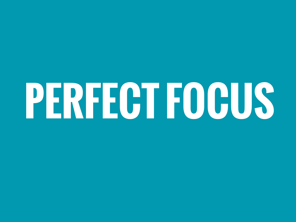## <span id="page-18-0"></span>**Perfect focus**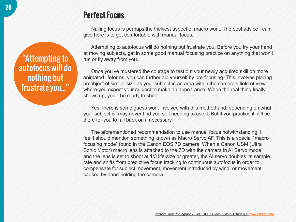### **Perfect Focus**

Nailing focus is perhaps the trickiest aspect of macro work. The best advice I can give here is to get comfortable with manual focus.

Attempting to autofocus will do nothing but frustrate you. Before you try your hand at moving subjects, get in some good manual focusing practice on anything that won't run or fly away from you.

Once you've mustered the courage to test out your newly acquired skill on more animated lifeforms, you can further aid yourself by pre-focusing. This involves placing an object of similar size as your subject in an area within the camera's field of view where you expect your subject to make an appearance. When the real thing finally shows up, you'll be ready to shoot.

Yes, there is some guess work involved with this method and, depending on what your subject is, may never find yourself needing to use it. But if you practice it, it'll be there for you to fall back on if necessary.

The aforementioned recommendation to use manual focus notwithstanding, I feel I should mention something known as Macro Servo AF. This is a special "macro focusing mode" found in the Canon EOS 7D camera. When a Canon USM (Ultra Sonic Motor) macro lens is attached to the 7D with the camera in AI Servo mode, and the lens is set to shoot at 1/3 life-size or greater, the AI servo doubles its sample rate and shifts from predictive focus tracking to continuous autofocus in order to compensate for subject movement, movement introduced by wind, or movement caused by hand-holding the camera.

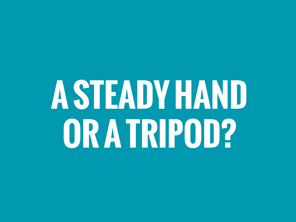### <span id="page-20-0"></span>**Asteady hand or a tripod?**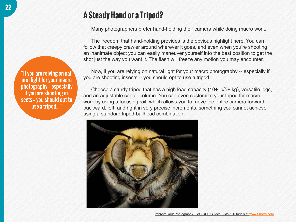### **A Steady Hand or a Tripod?**

Many photographers prefer hand-holding their camera while doing macro work.

The freedom that hand-holding provides is the obvious highlight here. You can follow that creepy crawler around wherever it goes, and even when you're shooting an inanimate object you can easily maneuver yourself into the best position to get the shot just the way you want it. The flash will freeze any motion you may encounter.

Now, if you are relying on natural light for your macro photography -- especially if you are shooting insects -- you should opt to use a tripod.

Choose a sturdy tripod that has a high load capacity (10+ lb/5+ kg), versatile legs, and an adjustable center column. You can even customize your tripod for macro work by using a focusing rail, which allows you to move the entire camera forward, backward, left, and right in very precise increments, something you cannot achieve using a standard tripod-ballhead combination.



"if you are relying on natural light for your macro photography - especially if you are shooting insects - you should opt to use a tripod..."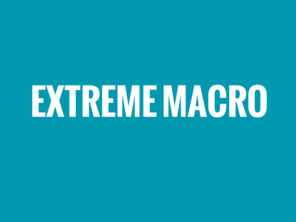## <span id="page-22-0"></span>**Extrememacro**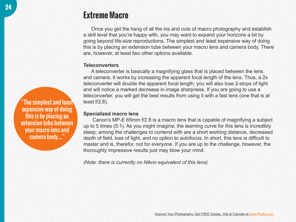### The simplest and least expensive way of doing this is by placing an extension tube between your macro lens and camera body...."

### **Extreme Macro**

Once you get the hang of all the ins and outs of macro photography and establish a skill level that you're happy with, you may want to expand your horizons a bit by going beyond life-size reproductions. The simplest and least expensive way of doing this is by placing an extension tube between your macro lens and camera body. There are, however, at least two other options available.

#### **Teleconverters**

A teleconverter is basically a magnifying glass that is placed between the lens and camera. It works by increasing the apparent focal length of the lens. Thus, a 2x teleconverter will double the apparent focal length; you will also lose 2-stops of light and will notice a marked decrease in image sharpness. If you are going to use a teleconverter, you will get the best results from using it with a fast lens (one that is at least f/2.8).

### **Specialized macro lens**

Canon's MP-E 65mm f/2.8 is a macro lens that is capable of magnifying a subject up to 5 times (5:1). As you might imagine, the learning curve for this lens is incredibly steep; among the challenges to contend with are a short working distance, decreased depth of field, loss of light, and no option to autofocus. In short, this lens is difficult to master and is, therefor, not for everyone. If you are up to the challenge, however, the thoroughly impressive results just may blow your mind.

*(Note: there is currently no Nikon equivalent of this lens)*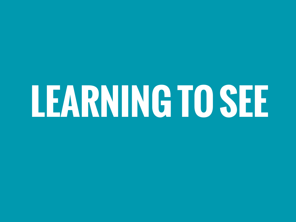## <span id="page-24-0"></span>**Learning to see**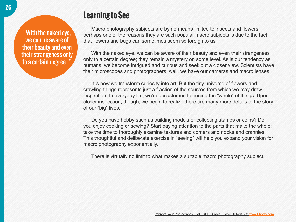"With the naked eye, we can be aware of their beauty and even their strangeness only to a certain degree...'

### **Learning to See**

Macro photography subjects are by no means limited to insects and flowers; perhaps one of the reasons they are such popular macro subjects is due to the fact that flowers and bugs can sometimes seem so foreign to us.

With the naked eye, we can be aware of their beauty and even their strangeness only to a certain degree; they remain a mystery on some level. As is our tendency as humans, we become intrigued and curious and seek out a closer view. Scientists have their microscopes and photographers, well, we have our cameras and macro lenses.

It is how we transform curiosity into art. But the tiny universe of flowers and crawling things represents just a fraction of the sources from which we may draw inspiration. In everyday life, we're accustomed to seeing the "whole" of things. Upon closer inspection, though, we begin to realize there are many more details to the story of our "big" lives.

Do you have hobby such as building models or collecting stamps or coins? Do you enjoy cooking or sewing? Start paying attention to the parts that make the whole; take the time to thoroughly examine textures and corners and nooks and crannies. This thoughtful and deliberate exercise in "seeing" will help you expand your vision for macro photography exponentially.

There is virtually no limit to what makes a suitable macro photography subject.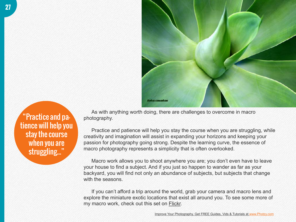

"Practice and patience will help you stay the course when you are struggling..."

As with anything worth doing, there are challenges to overcome in macro photography.

Practice and patience will help you stay the course when you are struggling, while creativity and imagination will assist in expanding your horizons and keeping your passion for photography going strong. Despite the learning curve, the essence of macro photography represents a simplicity that is often overlooked.

Macro work allows you to shoot anywhere you are; you don't even have to leave your house to find a subject. And if you just so happen to wander as far as your backyard, you will find not only an abundance of subjects, but subjects that change with the seasons.

If you can't afford a trip around the world, grab your camera and macro lens and explore the miniature exotic locations that exist all around you. To see some more of my macro work, check out this set on [Flickr](http://www.flickr.com/photos/34316967%40N04/sets/72157623545514698/).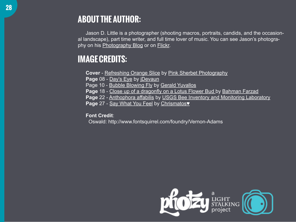Jason D. Little is a photographer (shooting macros, portraits, candids, and the occasional landscape), part time writer, and full time lover of music. You can see Jason's photography on his **[Photography Blog](http://jdevaunphotographynow.wordpress.com/)** or on **Flickr**.

### **IMAGE CREDITS:**

**Cover** - [Refreshing Orange Slice](http://www.flickr.com/photos/pinksherbet/2421441730) by [Pink Sherbet Photography](http://www.flickr.com/people/pinksherbet)

Page 08 - [Day's Eye](http://www.flickr.com/photos/34316967%40N04/7998799230) by [jDevaun](http://www.flickr.com/people/34316967%40N04)

Page 10 - [Bubble Blowing Fly](http://www.flickr.com/photos/gyuvallos/64217979/) by [Gerald Yuvallos](http://www.flickr.com/people/gyuvallos)

**Page** 18 - [Close up of a dragonfly on a Lotus Flower Bud b](http://www.flickr.com/photos/21644167%40N04/3755575059/)y [Bahman Farzad](http://www.flickr.com/people/21644167%40N04/)

**Page** 22 - [Anthophora affabilis](http://www.flickr.com/photos/usgsbiml/8203042364/) by [USGS Bee Inventory and Monitoring Laboratory](http://www.flickr.com/people/usgsbiml/)

**Page** 27 - [Say What You Feel](http://www.flickr.com/photos/chrismatos/6110190851) by [Chrismatos♥](http://www.flickr.com/people/chrismatos/)

**Font Credit**:

Oswald: <http://www.fontsquirrel.com/foundry/Vernon-Adams>